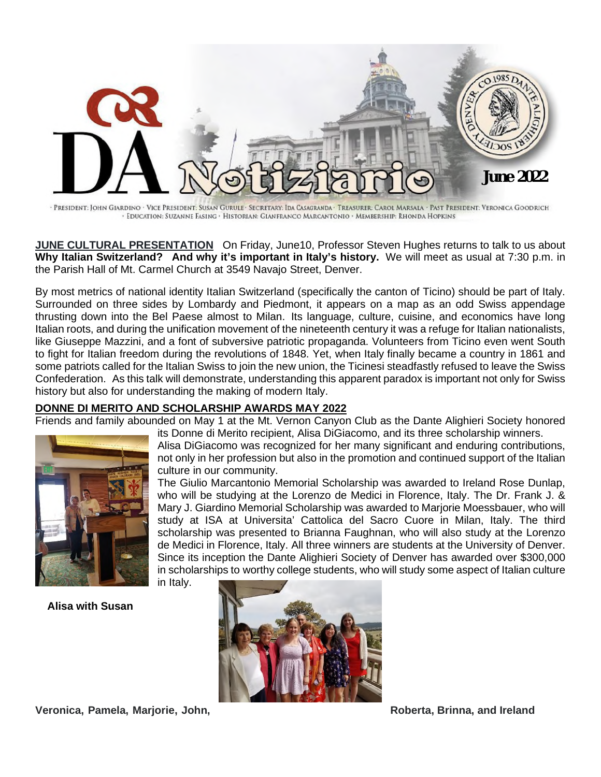

· PRESIDENT: JOHN GIARDINO · VICE PRESIDENT: SUSAN GURULE · SECRETARY: IDA CASAGRANDA · TREASURER: CAROL MARSALA · PAST PRESIDENT: VERONICA GOODRICH · EDUCATION: SUZANNE EASING · HISTORIAN: GIANFRANCO MARCANTONIO · MEMBERSHIP: RHONDA HOPKINS

**JUNE CULTURAL PRESENTATION** On Friday, June10, Professor Steven Hughes returns to talk to us about **Why Italian Switzerland? And why it's important in Italy's history.** We will meet as usual at 7:30 p.m. in the Parish Hall of Mt. Carmel Church at 3549 Navajo Street, Denver.

By most metrics of national identity Italian Switzerland (specifically the canton of Ticino) should be part of Italy. Surrounded on three sides by Lombardy and Piedmont, it appears on a map as an odd Swiss appendage thrusting down into the Bel Paese almost to Milan. Its language, culture, cuisine, and economics have long Italian roots, and during the unification movement of the nineteenth century it was a refuge for Italian nationalists, like Giuseppe Mazzini, and a font of subversive patriotic propaganda. Volunteers from Ticino even went South to fight for Italian freedom during the revolutions of 1848. Yet, when Italy finally became a country in 1861 and some patriots called for the Italian Swiss to join the new union, the Ticinesi steadfastly refused to leave the Swiss Confederation. As this talk will demonstrate, understanding this apparent paradox is important not only for Swiss history but also for understanding the making of modern Italy.

# **DONNE DI MERITO AND SCHOLARSHIP AWARDS MAY 2022**

Friends and family abounded on May 1 at the Mt. Vernon Canyon Club as the Dante Alighieri Society honored



its Donne di Merito recipient, Alisa DiGiacomo, and its three scholarship winners. Alisa DiGiacomo was recognized for her many significant and enduring contributions, not only in her profession but also in the promotion and continued support of the Italian culture in our community.

The Giulio Marcantonio Memorial Scholarship was awarded to Ireland Rose Dunlap, who will be studying at the Lorenzo de Medici in Florence, Italy. The Dr. Frank J. & Mary J. Giardino Memorial Scholarship was awarded to Marjorie Moessbauer, who will study at ISA at Universita' Cattolica del Sacro Cuore in Milan, Italy. The third scholarship was presented to Brianna Faughnan, who will also study at the Lorenzo de Medici in Florence, Italy. All three winners are students at the University of Denver. Since its inception the Dante Alighieri Society of Denver has awarded over \$300,000 in scholarships to worthy college students, who will study some aspect of Italian culture in Italy.

**Alisa with Susan**



**Veronica, Pamela, Marjorie, John, Roberta, Brinna, and Ireland**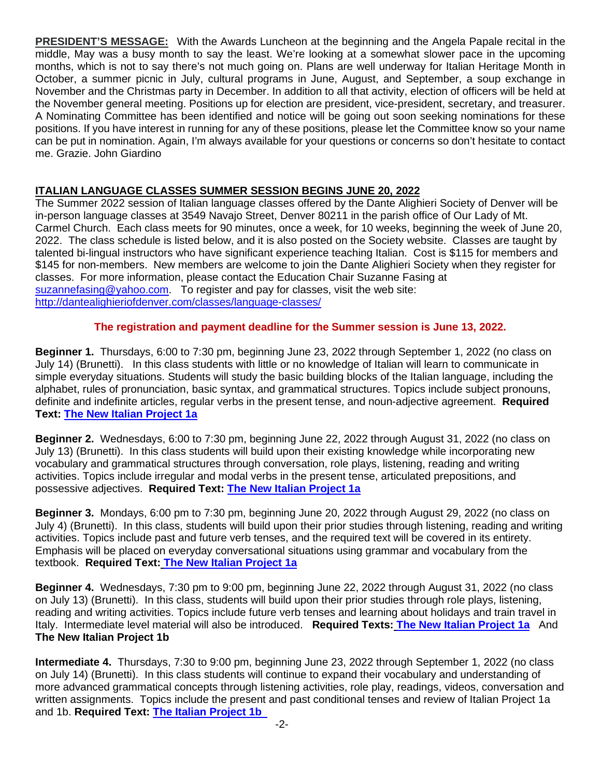**PRESIDENT'S MESSAGE:** With the Awards Luncheon at the beginning and the Angela Papale recital in the middle, May was a busy month to say the least. We're looking at a somewhat slower pace in the upcoming months, which is not to say there's not much going on. Plans are well underway for Italian Heritage Month in October, a summer picnic in July, cultural programs in June, August, and September, a soup exchange in November and the Christmas party in December. In addition to all that activity, election of officers will be held at the November general meeting. Positions up for election are president, vice-president, secretary, and treasurer. A Nominating Committee has been identified and notice will be going out soon seeking nominations for these positions. If you have interest in running for any of these positions, please let the Committee know so your name can be put in nomination. Again, I'm always available for your questions or concerns so don't hesitate to contact me. Grazie. John Giardino

# **ITALIAN LANGUAGE CLASSES SUMMER SESSION BEGINS JUNE 20, 2022**

The Summer 2022 session of Italian language classes offered by the Dante Alighieri Society of Denver will be in-person language classes at 3549 Navajo Street, Denver 80211 in the parish office of Our Lady of Mt. Carmel Church. Each class meets for 90 minutes, once a week, for 10 weeks, beginning the week of June 20, 2022. The class schedule is listed below, and it is also posted on the Society website. Classes are taught by talented bi-lingual instructors who have significant experience teaching Italian. Cost is \$115 for members and \$145 for non-members. New members are welcome to join the Dante Alighieri Society when they register for classes. For more information, please contact the Education Chair Suzanne Fasing at suzannefasing@yahoo.com. To register and pay for classes, visit the web site: http://dantealighieriofdenver.com/classes/language-classes/

# **The registration and payment deadline for the Summer session is June 13, 2022.**

**Beginner 1.** Thursdays, 6:00 to 7:30 pm, beginning June 23, 2022 through September 1, 2022 (no class on July 14) (Brunetti). In this class students with little or no knowledge of Italian will learn to communicate in simple everyday situations. Students will study the basic building blocks of the Italian language, including the alphabet, rules of pronunciation, basic syntax, and grammatical structures. Topics include subject pronouns, definite and indefinite articles, regular verbs in the present tense, and noun-adjective agreement. **Required Text: The New Italian Project 1a**

**Beginner 2.** Wednesdays, 6:00 to 7:30 pm, beginning June 22, 2022 through August 31, 2022 (no class on July 13) (Brunetti). In this class students will build upon their existing knowledge while incorporating new vocabulary and grammatical structures through conversation, role plays, listening, reading and writing activities. Topics include irregular and modal verbs in the present tense, articulated prepositions, and possessive adjectives. **Required Text: The New Italian Project 1a**

**Beginner 3.** Mondays, 6:00 pm to 7:30 pm, beginning June 20, 2022 through August 29, 2022 (no class on July 4) (Brunetti). In this class, students will build upon their prior studies through listening, reading and writing activities. Topics include past and future verb tenses, and the required text will be covered in its entirety. Emphasis will be placed on everyday conversational situations using grammar and vocabulary from the textbook. **Required Text: The New Italian Project 1a**

**Beginner 4.** Wednesdays, 7:30 pm to 9:00 pm, beginning June 22, 2022 through August 31, 2022 (no class on July 13) (Brunetti). In this class, students will build upon their prior studies through role plays, listening, reading and writing activities. Topics include future verb tenses and learning about holidays and train travel in Italy. Intermediate level material will also be introduced. **Required Texts: The New Italian Project 1a** And **The New Italian Project 1b** 

**Intermediate 4.** Thursdays, 7:30 to 9:00 pm, beginning June 23, 2022 through September 1, 2022 (no class on July 14) (Brunetti). In this class students will continue to expand their vocabulary and understanding of more advanced grammatical concepts through listening activities, role play, readings, videos, conversation and written assignments. Topics include the present and past conditional tenses and review of Italian Project 1a and 1b. **Required Text: The Italian Project 1b**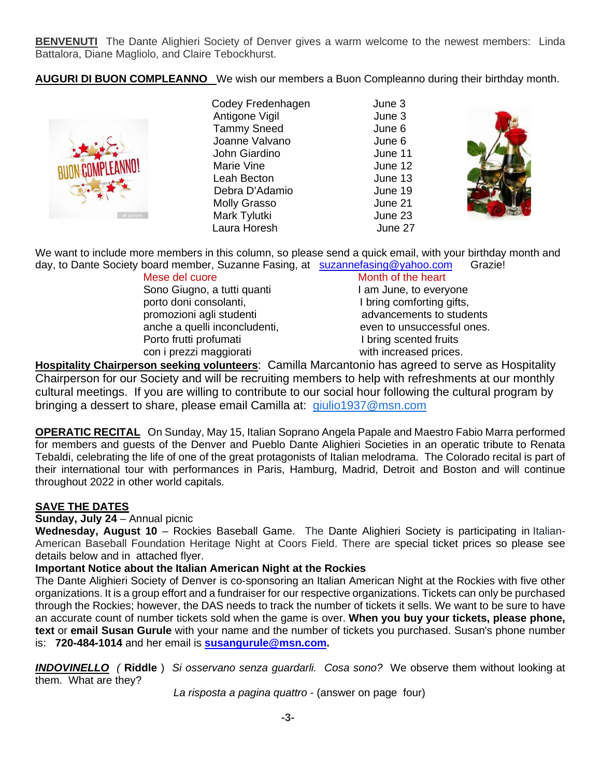**BENVENUTI** The Dante Alighieri Society of Denver gives a warm welcome to the newest members: Linda Battalora, Diane Magliolo, and Claire Tebockhurst.

**AUGURI DI BUON COMPLEANNO** We wish our members a Buon Compleanno during their birthday month.



 Codey Fredenhagen June 3 Antigone Vigil **Antigone** Vigil **June 3** Tammy Sneed June 6 Joanne Valvano June 6 John Giardino June 11 Marie Vine<br>
Leah Becton<br>
Leah Becton<br>
13 Leah Becton Debra D'Adamio June 19 Molly Grasso **June 21** Mark Tylutki **June 23** Laura Horesh June 27



We want to include more members in this column, so please send a quick email, with your birthday month and day, to Dante Society board member, Suzanne Fasing, at suzannefasing@yahoo.com Grazie!

Mese del cuore Month of the heart Sono Giugno, a tutti quanti **I am June**, to everyone porto doni consolanti, and in the local porto doni consolanti, and its is a local porto doni consolanti, promozioni agli studenti advancements to students anche a quelli inconcludenti, exercise ven to unsuccessful ones. Porto frutti profumati and a lot of lot of lot of lot of lot of lot of lot of lot of lot of lot of lot of lot o con i prezzi maggiorati entertain-

**Hospitality Chairperson seeking volunteers**: Camilla Marcantonio has agreed to serve as Hospitality Chairperson for our Society and will be recruiting members to help with refreshments at our monthly cultural meetings. If you are willing to contribute to our social hour following the cultural program by bringing a dessert to share, please email Camilla at: giulio1937@msn.com

**OPERATIC RECITAL** On Sunday, May 15, Italian Soprano Angela Papale and Maestro Fabio Marra performed for members and guests of the Denver and Pueblo Dante Alighieri Societies in an operatic tribute to Renata Tebaldi, celebrating the life of one of the great protagonists of Italian melodrama. The Colorado recital is part of their international tour with performances in Paris, Hamburg, Madrid, Detroit and Boston and will continue throughout 2022 in other world capitals.

# **SAVE THE DATES**

**Sunday, July 24** – Annual picnic

**Wednesday, August 10** – Rockies Baseball Game. The Dante Alighieri Society is participating in Italian-American Baseball Foundation Heritage Night at Coors Field. There are special ticket prices so please see details below and in attached flyer.

## **Important Notice about the Italian American Night at the Rockies**

The Dante Alighieri Society of Denver is co-sponsoring an Italian American Night at the Rockies with five other organizations. It is a group effort and a fundraiser for our respective organizations. Tickets can only be purchased through the Rockies; however, the DAS needs to track the number of tickets it sells. We want to be sure to have an accurate count of number tickets sold when the game is over. **When you buy your tickets, please phone, text** or **email Susan Gurule** with your name and the number of tickets you purchased. Susan's phone number is: **720-484-1014** and her email is **susangurule@msn.com.** 

*INDOVINELLO (* **Riddle** ) *Si osservano senza guardarli. Cosa sono?* We observe them without looking at them. What are they?

*La risposta a pagina quattro* - (answer on page four)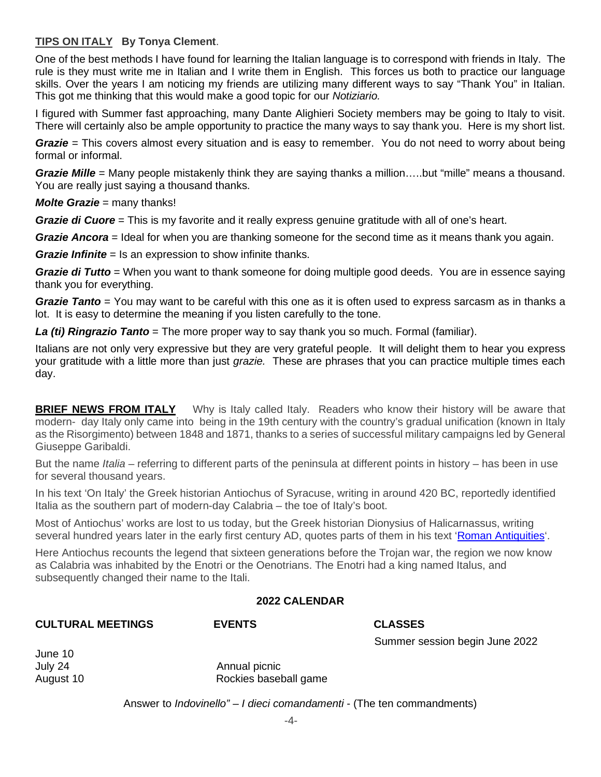# **TIPS ON ITALY By Tonya Clement**.

One of the best methods I have found for learning the Italian language is to correspond with friends in Italy. The rule is they must write me in Italian and I write them in English. This forces us both to practice our language skills. Over the years I am noticing my friends are utilizing many different ways to say "Thank You" in Italian. This got me thinking that this would make a good topic for our *Notiziario.*

I figured with Summer fast approaching, many Dante Alighieri Society members may be going to Italy to visit. There will certainly also be ample opportunity to practice the many ways to say thank you. Here is my short list.

*Grazie* = This covers almost every situation and is easy to remember. You do not need to worry about being formal or informal.

*Grazie Mille* = Many people mistakenly think they are saying thanks a million…..but "mille" means a thousand. You are really just saying a thousand thanks.

### *Molte Grazie* = many thanks!

*Grazie di Cuore* = This is my favorite and it really express genuine gratitude with all of one's heart.

*Grazie Ancora* = Ideal for when you are thanking someone for the second time as it means thank you again.

*Grazie Infinite* = Is an expression to show infinite thanks.

*Grazie di Tutto* = When you want to thank someone for doing multiple good deeds. You are in essence saying thank you for everything.

*Grazie Tanto* = You may want to be careful with this one as it is often used to express sarcasm as in thanks a lot. It is easy to determine the meaning if you listen carefully to the tone.

*La (ti) Ringrazio Tanto* = The more proper way to say thank you so much. Formal (familiar).

Italians are not only very expressive but they are very grateful people. It will delight them to hear you express your gratitude with a little more than just *grazie.* These are phrases that you can practice multiple times each day.

**BRIEF NEWS FROM ITALY** Why is Italy called Italy. Readers who know their history will be aware that modern- day Italy only came into being in the 19th century with the country's gradual unification (known in Italy as the Risorgimento) between 1848 and 1871, thanks to a series of successful military campaigns led by General Giuseppe Garibaldi.

But the name *Italia* – referring to different parts of the peninsula at different points in history – has been in use for several thousand years.

In his text 'On Italy' the Greek historian Antiochus of Syracuse, writing in around 420 BC, reportedly identified Italia as the southern part of modern-day Calabria – the toe of Italy's boot.

Most of Antiochus' works are lost to us today, but the Greek historian Dionysius of Halicarnassus, writing several hundred years later in the early first century AD, quotes parts of them in his text 'Roman Antiquities'.

Here Antiochus recounts the legend that sixteen generations before the Trojan war, the region we now know as Calabria was inhabited by the Enotri or the Oenotrians. The Enotri had a king named Italus, and subsequently changed their name to the Itali.

### **2022 CALENDAR**

#### **CULTURAL MEETINGS EVENTS CLASSES**

Summer session begin June 2022

June 10

July 24 Annual picnic August 10 Rockies baseball game

Answer to *Indovinello" – I dieci comandamenti* - (The ten commandments)